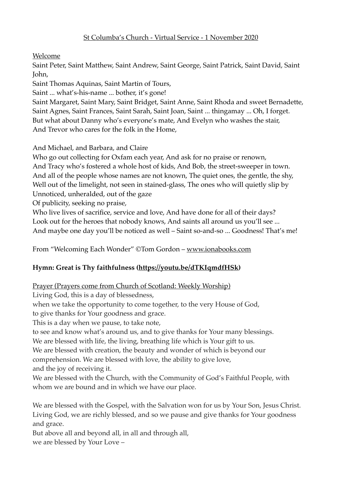Welcome

Saint Peter, Saint Matthew, Saint Andrew, Saint George, Saint Patrick, Saint David, Saint John,

Saint Thomas Aquinas, Saint Martin of Tours,

Saint ... what's-his-name ... bother, it's gone!

Saint Margaret, Saint Mary, Saint Bridget, Saint Anne, Saint Rhoda and sweet Bernadette, Saint Agnes, Saint Frances, Saint Sarah, Saint Joan, Saint ... thingamay ... Oh, I forget. But what about Danny who's everyone's mate, And Evelyn who washes the stair, And Trevor who cares for the folk in the Home,

And Michael, and Barbara, and Claire

Who go out collecting for Oxfam each year, And ask for no praise or renown, And Tracy who's fostered a whole host of kids, And Bob, the street-sweeper in town. And all of the people whose names are not known, The quiet ones, the gentle, the shy, Well out of the limelight, not seen in stained-glass, The ones who will quietly slip by Unnoticed, unheralded, out of the gaze

Of publicity, seeking no praise,

Who live lives of sacrifice, service and love, And have done for all of their days? Look out for the heroes that nobody knows, And saints all around us you'll see ... And maybe one day you'll be noticed as well – Saint so-and-so ... Goodness! That's me!

From "Welcoming Each Wonder" ©Tom Gordon – [www.ionabooks.com](http://www.ionabooks.com)

# **Hymn: Great is Thy faithfulness [\(https://youtu.be/dTKIqmdfHSk](https://youtu.be/dTKIqmdfHSk))**

Prayer (Prayers come from Church of Scotland: Weekly Worship)

Living God, this is a day of blessedness,

when we take the opportunity to come together, to the very House of God,

to give thanks for Your goodness and grace.

This is a day when we pause, to take note,

to see and know what's around us, and to give thanks for Your many blessings. We are blessed with life, the living, breathing life which is Your gift to us.

We are blessed with creation, the beauty and wonder of which is beyond our

comprehension. We are blessed with love, the ability to give love,

and the joy of receiving it.

We are blessed with the Church, with the Community of God's Faithful People, with whom we are bound and in which we have our place.

We are blessed with the Gospel, with the Salvation won for us by Your Son, Jesus Christ. Living God, we are richly blessed, and so we pause and give thanks for Your goodness and grace.

But above all and beyond all, in all and through all, we are blessed by Your Love –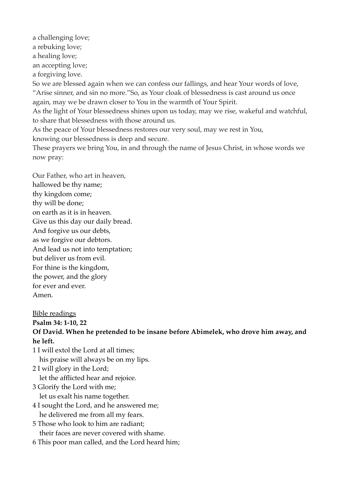a challenging love; a rebuking love; a healing love; an accepting love; a forgiving love. So we are blessed again when we can confess our fallings, and hear Your words of love, "Arise sinner, and sin no more."So, as Your cloak of blessedness is cast around us once again, may we be drawn closer to You in the warmth of Your Spirit. As the light of Your blessedness shines upon us today, may we rise, wakeful and watchful, to share that blessedness with those around us. As the peace of Your blessedness restores our very soul, may we rest in You, knowing our blessedness is deep and secure. These prayers we bring You, in and through the name of Jesus Christ, in whose words we now pray:

Our Father, who art in heaven, hallowed be thy name; thy kingdom come; thy will be done; on earth as it is in heaven. Give us this day our daily bread. And forgive us our debts, as we forgive our debtors. And lead us not into temptation; but deliver us from evil. For thine is the kingdom, the power, and the glory for ever and ever. Amen.

Bible readings **Psalm 34: 1-10, 22 Of David. When he pretended to be insane before Abimelek, who drove him away, and he left.**

1 I will extol the Lord at all times; his praise will always be on my lips.

2 I will glory in the Lord; let the afflicted hear and rejoice.

- 3 Glorify the Lord with me; let us exalt his name together.
- 4 I sought the Lord, and he answered me; he delivered me from all my fears.
- 5 Those who look to him are radiant; their faces are never covered with shame.
- 6 This poor man called, and the Lord heard him;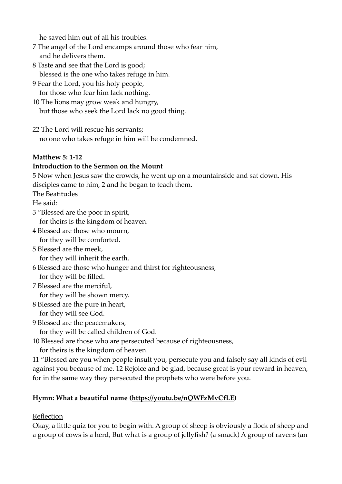he saved him out of all his troubles.

- 7 The angel of the Lord encamps around those who fear him, and he delivers them.
- 8 Taste and see that the Lord is good; blessed is the one who takes refuge in him.
- 9 Fear the Lord, you his holy people, for those who fear him lack nothing.
- 10 The lions may grow weak and hungry, but those who seek the Lord lack no good thing.
- 22 The Lord will rescue his servants; no one who takes refuge in him will be condemned.

#### **Matthew 5: 1-12**

#### **Introduction to the Sermon on the Mount**

5 Now when Jesus saw the crowds, he went up on a mountainside and sat down. His disciples came to him, 2 and he began to teach them.

The Beatitudes

He said:

- 3 "Blessed are the poor in spirit, for theirs is the kingdom of heaven.
- 4 Blessed are those who mourn, for they will be comforted.
- 5 Blessed are the meek, for they will inherit the earth.
- 6 Blessed are those who hunger and thirst for righteousness, for they will be filled.
- 7 Blessed are the merciful, for they will be shown mercy.
- 8 Blessed are the pure in heart,

for they will see God.

9 Blessed are the peacemakers,

for they will be called children of God.

10 Blessed are those who are persecuted because of righteousness, for theirs is the kingdom of heaven.

11 "Blessed are you when people insult you, persecute you and falsely say all kinds of evil against you because of me. 12 Rejoice and be glad, because great is your reward in heaven, for in the same way they persecuted the prophets who were before you.

### **Hymn: What a beautiful name [\(https://youtu.be/nQWFzMvCfLE\)](https://youtu.be/nQWFzMvCfLE)**

### Reflection

Okay, a little quiz for you to begin with. A group of sheep is obviously a flock of sheep and a group of cows is a herd, But what is a group of jellyfish? (a smack) A group of ravens (an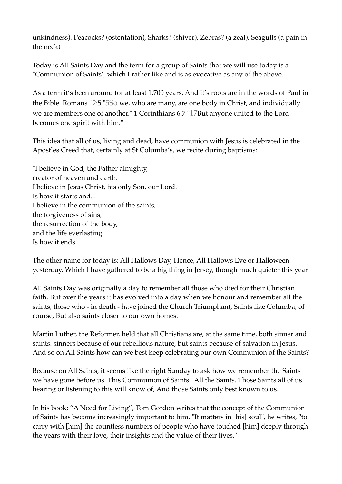unkindness). Peacocks? (ostentation), Sharks? (shiver), Zebras? (a zeal), Seagulls (a pain in the neck)

Today is All Saints Day and the term for a group of Saints that we will use today is a "Communion of Saints', which I rather like and is as evocative as any of the above.

As a term it's been around for at least 1,700 years, And it's roots are in the words of Paul in the Bible. Romans 12:5 "5So we, who are many, are one body in Christ, and individually we are members one of another." 1 Corinthians 6:7 "17But anyone united to the Lord becomes one spirit with him."

This idea that all of us, living and dead, have communion with Jesus is celebrated in the Apostles Creed that, certainly at St Columba's, we recite during baptisms:

"I believe in God, the Father almighty, creator of heaven and earth. I believe in Jesus Christ, his only Son, our Lord. Is how it starts and... I believe in the communion of the saints, the forgiveness of sins, the resurrection of the body, and the life everlasting. Is how it ends

The other name for today is: All Hallows Day, Hence, All Hallows Eve or Halloween yesterday, Which I have gathered to be a big thing in Jersey, though much quieter this year.

All Saints Day was originally a day to remember all those who died for their Christian faith, But over the years it has evolved into a day when we honour and remember all the saints, those who - in death - have joined the Church Triumphant, Saints like Columba, of course, But also saints closer to our own homes.

Martin Luther, the Reformer, held that all Christians are, at the same time, both sinner and saints. sinners because of our rebellious nature, but saints because of salvation in Jesus. And so on All Saints how can we best keep celebrating our own Communion of the Saints?

Because on All Saints, it seems like the right Sunday to ask how we remember the Saints we have gone before us. This Communion of Saints. All the Saints. Those Saints all of us hearing or listening to this will know of, And those Saints only best known to us.

In his book; "A Need for Living", Tom Gordon writes that the concept of the Communion of Saints has become increasingly important to him. "It matters in [his] soul", he writes, "to carry with [him] the countless numbers of people who have touched [him] deeply through the years with their love, their insights and the value of their lives."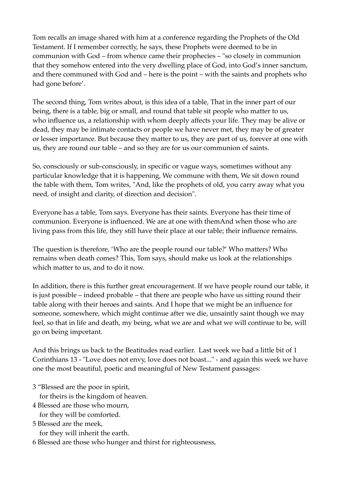Tom recalls an image shared with him at a conference regarding the Prophets of the Old Testament. If I remember correctly, he says, these Prophets were deemed to be in communion with God – from whence came their prophecies – "so closely in communion that they somehow entered into the very dwelling place of God, into God's inner sanctum, and there communed with God and – here is the point – with the saints and prophets who had gone before'.

The second thing, Tom writes about, is this idea of a table, That in the inner part of our being, there is a table, big or small, and round that table sit people who matter to us, who influence us, a relationship with whom deeply affects your life. They may be alive or dead, they may be intimate contacts or people we have never met, they may be of greater or lesser importance. But because they matter to us, they are part of us, forever at one with us, they are round our table – and so they are for us our communion of saints.

So, consciously or sub-consciously, in specific or vague ways, sometimes without any particular knowledge that it is happening, We commune with them, We sit down round the table with them, Tom writes, "And, like the prophets of old, you carry away what you need, of insight and clarity, of direction and decision".

Everyone has a table, Tom says. Everyone has their saints. Everyone has their time of communion. Everyone is influenced. We are at one with themAnd when those who are living pass from this life, they still have their place at our table; their influence remains.

The question is therefore, 'Who are the people round our table?' Who matters? Who remains when death comes? This, Tom says, should make us look at the relationships which matter to us, and to do it now.

In addition, there is this further great encouragement. If we have people round our table, it is just possible – indeed probable – that there are people who have us sitting round their table along with their heroes and saints. And I hope that we might be an influence for someone, somewhere, which might continue after we die, unsaintly saint though we may feel, so that in life and death, my being, what we are and what we will continue to be, will go on being important.

And this brings us back to the Beatitudes read earlier. Last week we had a little bit of 1 Corinthians 13 - "Love does not envy, love does not boast..." - and again this week we have one the most beautiful, poetic and meaningful of New Testament passages:

3 "Blessed are the poor in spirit,

for theirs is the kingdom of heaven.

4 Blessed are those who mourn,

for they will be comforted.

5 Blessed are the meek,

for they will inherit the earth.

6 Blessed are those who hunger and thirst for righteousness,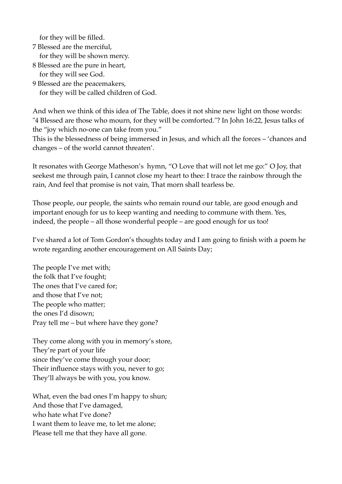for they will be filled.

7 Blessed are the merciful, for they will be shown mercy.

- 8 Blessed are the pure in heart, for they will see God.
- 9 Blessed are the peacemakers, for they will be called children of God.

And when we think of this idea of The Table, does it not shine new light on those words: "4 Blessed are those who mourn, for they will be comforted."? In John 16:22, Jesus talks of the "joy which no-one can take from you."

This is the blessedness of being immersed in Jesus, and which all the forces – 'chances and changes – of the world cannot threaten'.

It resonates with George Matheson's hymn, "O Love that will not let me go:" O Joy, that seekest me through pain, I cannot close my heart to thee: I trace the rainbow through the rain, And feel that promise is not vain, That morn shall tearless be.

Those people, our people, the saints who remain round our table, are good enough and important enough for us to keep wanting and needing to commune with them. Yes, indeed, the people – all those wonderful people – are good enough for us too!

I've shared a lot of Tom Gordon's thoughts today and I am going to finish with a poem he wrote regarding another encouragement on All Saints Day;

The people I've met with; the folk that I've fought; The ones that I've cared for; and those that I've not; The people who matter; the ones I'd disown; Pray tell me – but where have they gone?

They come along with you in memory's store, They're part of your life since they've come through your door; Their influence stays with you, never to go; They'll always be with you, you know.

What, even the bad ones I'm happy to shun; And those that I've damaged, who hate what I've done? I want them to leave me, to let me alone; Please tell me that they have all gone.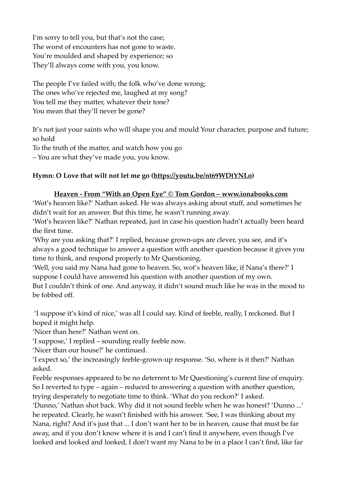I'm sorry to tell you, but that's not the case; The worst of encounters has not gone to waste. You're moulded and shaped by experience; so They'll always come with you, you know.

The people I've failed with; the folk who've done wrong; The ones who've rejected me, laughed at my song? You tell me they matter, whatever their tone? You mean that they'll never be gone?

It's not just your saints who will shape you and mould Your character, purpose and future; so hold

To the truth of the matter, and watch how you go

– You are what they've made you, you know.

### **Hymn: O Love that wilt not let me go [\(https://youtu.be/nt69WDtYNLo\)](https://youtu.be/nt69WDtYNLo)**

#### **Heaven - From "With an Open Eye" © Tom Gordon – www.ionabooks.com**

'Wot's heaven like?' Nathan asked. He was always asking about stuff, and sometimes he didn't wait for an answer. But this time, he wasn't running away.

'Wot's heaven like?' Nathan repeated, just in case his question hadn't actually been heard the first time.

'Why are you asking that?' I replied, because grown-ups are clever, you see, and it's always a good technique to answer a question with another question because it gives you time to think, and respond properly to Mr Questioning.

'Well, you said my Nana had gone to heaven. So, wot's heaven like, if Nana's there?' I suppose I could have answered his question with another question of my own.

But I couldn't think of one. And anyway, it didn't sound much like he was in the mood to be fobbed off.

 'I suppose it's kind of nice,' was all I could say. Kind of feeble, really, I reckoned. But I hoped it might help.

'Nicer than here?' Nathan went on.

'I suppose,' I replied – sounding really feeble now.

'Nicer than our house?' he continued.

'I expect so,' the increasingly feeble-grown-up response. 'So, where is it then?' Nathan asked.

Feeble responses appeared to be no deterrent to Mr Questioning's current line of enquiry. So I reverted to type – again – reduced to answering a question with another question, trying desperately to negotiate time to think. 'What do you reckon?' I asked.

'Dunno,' Nathan shot back. Why did it not sound feeble when he was honest? 'Dunno ...' he repeated. Clearly, he wasn't finished with his answer. 'See, I was thinking about my Nana, right? And it's just that ... I don't want her to be in heaven, cause that must be far away, and if you don't know where it is and I can't find it anywhere, even though I've looked and looked and looked, I don't want my Nana to be in a place I can't find, like far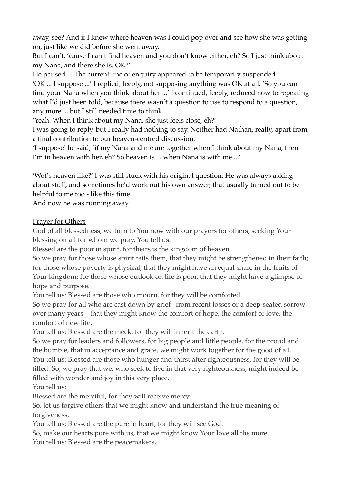away, see? And if I knew where heaven was I could pop over and see how she was getting on, just like we did before she went away.

But I can't, 'cause I can't find heaven and you don't know either, eh? So I just think about my Nana, and there she is, OK?'

He paused ... The current line of enquiry appeared to be temporarily suspended.

'OK ... I suppose ...' I replied, feebly, not supposing anything was OK at all. 'So you can find your Nana when you think about her ...' I continued, feebly, reduced now to repeating what I'd just been told, because there wasn't a question to use to respond to a question, any more ... but I still needed time to think.

'Yeah. When I think about my Nana, she just feels close, eh?'

I was going to reply, but I really had nothing to say. Neither had Nathan, really, apart from a final contribution to our heaven-centred discussion.

'I suppose' he said, 'if my Nana and me are together when I think about my Nana, then I'm in heaven with her, eh? So heaven is ... when Nana is with me ...'

'Wot's heaven like?' I was still stuck with his original question. He was always asking about stuff, and sometimes he'd work out his own answer, that usually turned out to be helpful to me too - like this time.

And now he was running away.

### **Prayer for Others**

God of all blessedness, we turn to You now with our prayers for others, seeking Your blessing on all for whom we pray. You tell us:

Blessed are the poor in spirit, for theirs is the kingdom of heaven.

So we pray for those whose spirit fails them, that they might be strengthened in their faith; for those whose poverty is physical, that they might have an equal share in the fruits of Your kingdom; for those whose outlook on life is poor, that they might have a glimpse of hope and purpose.

You tell us: Blessed are those who mourn, for they will be comforted.

So we pray for all who are cast down by grief –from recent losses or a deep-seated sorrow over many years – that they might know the comfort of hope, the comfort of love, the comfort of new life.

You tell us: Blessed are the meek, for they will inherit the earth.

So we pray for leaders and followers, for big people and little people, for the proud and the humble, that in acceptance and grace, we might work together for the good of all. You tell us: Blessed are those who hunger and thirst after righteousness, for they will be filled. So, we pray that we, who seek to live in that very righteousness, might indeed be filled with wonder and joy in this very place.

You tell us:

Blessed are the merciful, for they will receive mercy.

So, let us forgive others that we might know and understand the true meaning of forgiveness.

You tell us: Blessed are the pure in heart, for they will see God.

So, make our hearts pure with us, that we might know Your love all the more. You tell us: Blessed are the peacemakers,